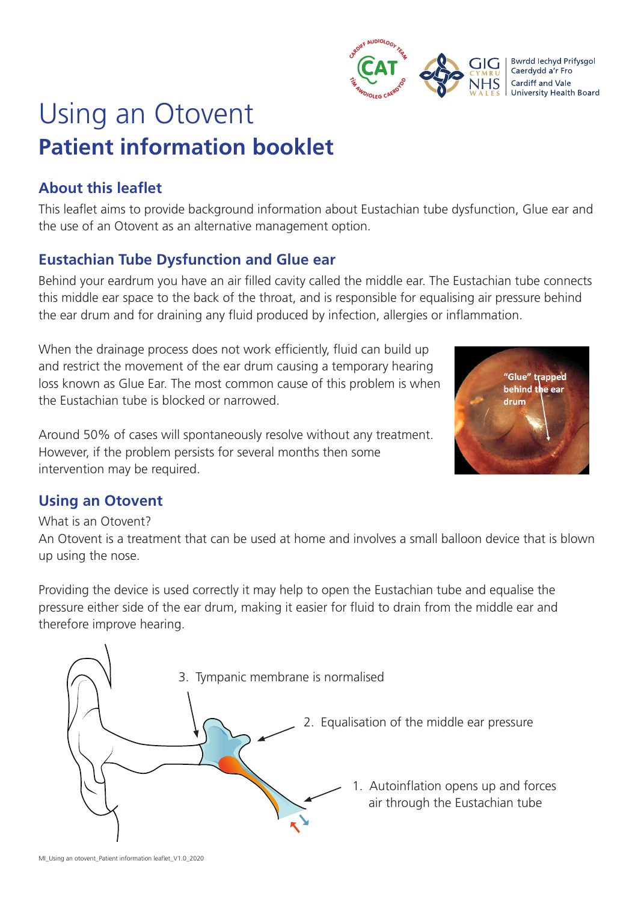

# Using an Otovent **Patient information booklet**

# **About this leaflet**

This leaflet aims to provide background information about Eustachian tube dysfunction, Glue ear and the use of an Otovent as an alternative management option.

# **Eustachian Tube Dysfunction and Glue ear**

Behind your eardrum you have an air filled cavity called the middle ear. The Eustachian tube connects this middle ear space to the back of the throat, and is responsible for equalising air pressure behind the ear drum and for draining any fluid produced by infection, allergies or inflammation.

When the drainage process does not work efficiently, fluid can build up and restrict the movement of the ear drum causing a temporary hearing loss known as Glue Ear. The most common cause of this problem is when the Eustachian tube is blocked or narrowed.

Around 50% of cases will spontaneously resolve without any treatment. However, if the problem persists for several months then some intervention may be required.



## **Using an Otovent**

#### What is an Otovent?

An Otovent is a treatment that can be used at home and involves a small balloon device that is blown up using the nose.

Providing the device is used correctly it may help to open the Eustachian tube and equalise the pressure either side of the ear drum, making it easier for fluid to drain from the middle ear and therefore improve hearing.